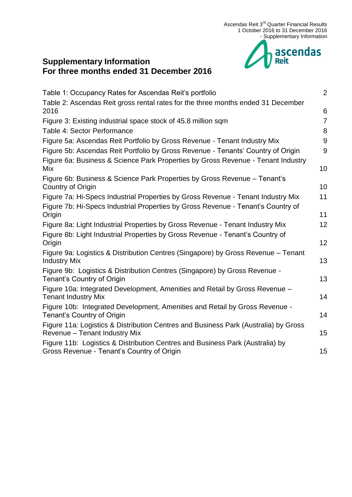

# [Table 1: Occupancy Rates for Ascendas Reit's portfolio](#page-1-0) 2 [Table 2: Ascendas Reit gross rental rates for the three months ended 31](#page-5-0) December [2016](#page-5-0) 6 [Figure 3: Existing industrial space stock of 45.8 million sqm](#page-6-0) Table [4: Sector Performance](#page-7-0) 8 and 3 and 3 and 3 and 3 and 3 and 3 and 3 and 3 and 3 and 3 and 3 and 3 and 3 and 3 and 3 and 3 and 3 and 3 and 3 and 3 and 3 and 3 and 3 and 3 and 3 and 3 and 3 and 3 and 3 and 3 and 3 and 3 [Figure 5a: Ascendas Reit Portfolio by Gross Revenue -](#page-8-0) Tenant Industry Mix 9 [Figure 5b: Ascendas Reit Portfolio by Gross Revenue -](#page-8-1) Tenants' Country of Origin 9 [Figure 6a: Business & Science Park Properties by Gross Revenue -](#page-9-0) Tenant Industry  $Mix$  and  $10$ [Figure 6b: Business & Science Park Properties by Gross Revenue –](#page-9-1) Tenant's [Country of Origin](#page-9-1) 10 [Figure 7a: Hi-Specs Industrial Properties by Gross Revenue -](#page-10-0) Tenant Industry Mix 11 [Figure 7b: Hi-Specs Industrial Properties by Gross Revenue -](#page-10-1) Tenant's Country of origin the contract of the contract of the contract of the contract of the contract of the contract of the contract of the contract of the contract of the contract of the contract of the contract of the contract of the con [Figure 8a: Light Industrial Properties by Gross Revenue -](#page-11-0) Tenant Industry Mix 12 [Figure 8b: Light Industrial Properties by Gross Revenue -](#page-11-1) Tenant's Country of [Origin](#page-11-1) 12 [Figure 9a: Logistics & Distribution Centres \(Singapore\) by Gross Revenue –](#page-12-0) Tenant [Industry Mix](#page-12-0) 2012 2013 2022 2023 2024 2022 2023 2024 2022 2023 2024 2022 2023 2024 2022 2023 2024 2022 2023 20 [Figure 9b: Logistics & Distribution Centres \(Singapore\) by Gross Revenue -](#page-12-1) [Tenant's Country of Origin](#page-12-1) 13 [Figure 10a: Integrated Development, Amenities and Retail by Gross Revenue –](#page-13-0) [Tenant Industry Mix](#page-13-0) 14 [Figure 10b: Integrated Development, Amenities and Retail by Gross Revenue -](#page-13-1) [Tenant's Country of Origin](#page-13-1) 14 [Figure 11a: Logistics & Distribution Centres and Business Park \(Australia\) by Gross](#page-14-0)

Revenue – [Tenant Industry Mix](#page-14-0) 15

**Supplementary Information** 

**For three months ended 31 December 2016**

[Figure 11b: Logistics & Distribution Centres and Business Park \(Australia\) by](#page-14-1)  Gross Revenue - [Tenant's Country of Origin](#page-14-1) 15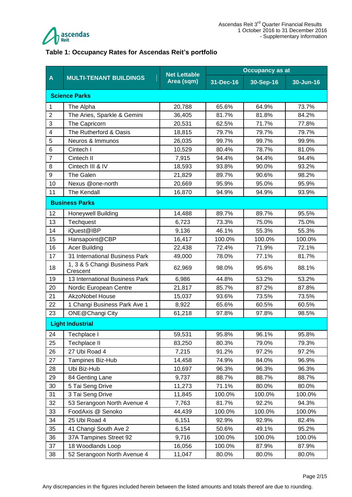

#### <span id="page-1-0"></span>**Table 1: Occupancy Rates for Ascendas Reit's portfolio**

|                | <b>MULTI-TENANT BUILDINGS</b>             | <b>Net Lettable</b> | <b>Occupancy as at</b> |           |           |  |  |
|----------------|-------------------------------------------|---------------------|------------------------|-----------|-----------|--|--|
| A              |                                           | Area (sqm)          | 31-Dec-16              | 30-Sep-16 | 30-Jun-16 |  |  |
|                | <b>Science Parks</b>                      |                     |                        |           |           |  |  |
| 1              | The Alpha                                 | 20,788              | 65.6%                  | 64.9%     | 73.7%     |  |  |
| $\overline{c}$ | The Aries, Sparkle & Gemini               | 36,405              | 81.7%                  | 81.8%     | 84.2%     |  |  |
| 3              | The Capricorn                             | 20,531              | 62.5%                  | 71.7%     | 77.8%     |  |  |
| 4              | The Rutherford & Oasis                    | 18,815              | 79.7%                  | 79.7%     | 79.7%     |  |  |
| 5              | Neuros & Immunos                          | 26,035              | 99.7%                  | 99.7%     | 99.9%     |  |  |
| 6              | Cintech I                                 | 10,529              | 80.4%                  | 78.7%     | 81.0%     |  |  |
| $\overline{7}$ | Cintech II                                | 7,915               | 94.4%                  | 94.4%     | 94.4%     |  |  |
| 8              | Cintech III & IV                          | 18,593              | 93.8%                  | 90.0%     | 93.2%     |  |  |
| 9              | The Galen                                 | 21,829              | 89.7%                  | 90.6%     | 98.2%     |  |  |
| 10             | Nexus @one-north                          | 20,669              | 95.9%                  | 95.0%     | 95.9%     |  |  |
| 11             | The Kendall                               | 16,870              | 94.9%                  | 94.9%     | 93.9%     |  |  |
|                | <b>Business Parks</b>                     |                     |                        |           |           |  |  |
| 12             | <b>Honeywell Building</b>                 | 14,488              | 89.7%                  | 89.7%     | 95.5%     |  |  |
| 13             | Techquest                                 | 6,723               | 73.3%                  | 75.0%     | 75.0%     |  |  |
| 14             | iQuest@IBP                                | 9,136               | 46.1%                  | 55.3%     | 55.3%     |  |  |
| 15             | Hansapoint@CBP                            | 16,417              | 100.0%                 | 100.0%    | 100.0%    |  |  |
| 16             | <b>Acer Building</b>                      | 22,438              | 72.4%                  | 71.9%     | 72.1%     |  |  |
| 17             | 31 International Business Park            | 49,000              | 78.0%                  | 77.1%     | 81.7%     |  |  |
| 18             | 1, 3 & 5 Changi Business Park<br>Crescent | 62,969              | 98.0%                  | 95.6%     | 88.1%     |  |  |
| 19             | 13 International Business Park            | 6,986               | 44.8%                  | 53.2%     | 53.2%     |  |  |
| 20             | Nordic European Centre                    | 21,817              | 85.7%                  | 87.2%     | 87.8%     |  |  |
| 21             | <b>AkzoNobel House</b>                    | 15,037              | 93.6%                  | 73.5%     | 73.5%     |  |  |
| 22             | 1 Changi Business Park Ave 1              | 8,922               | 65.6%                  | 60.5%     | 60.5%     |  |  |
| 23             | <b>ONE@Changi City</b>                    | 61,218              | 97.8%                  | 97.8%     | 98.5%     |  |  |
|                | <b>Light Industrial</b>                   |                     |                        |           |           |  |  |
| 24             | Techplace I                               | 59,531              | 95.8%                  | 96.1%     | 95.8%     |  |  |
| 25             | Techplace II                              | 83,250              | 80.3%                  | 79.0%     | 79.3%     |  |  |
| 26             | 27 Ubi Road 4                             | 7,215               | 91.2%                  | 97.2%     | 97.2%     |  |  |
| 27             | Tampines Biz-Hub                          | 14,458              | 74.9%                  | 84.0%     | 96.9%     |  |  |
| 28             | Ubi Biz-Hub                               | 10,697              | 96.3%                  | 96.3%     | 96.3%     |  |  |
| 29             | 84 Genting Lane                           | 9,737               | 88.7%                  | 88.7%     | 88.7%     |  |  |
| 30             | 5 Tai Seng Drive                          | 11,273              | 71.1%                  | 80.0%     | 80.0%     |  |  |
| 31             | 3 Tai Seng Drive                          | 11,845              | 100.0%                 | 100.0%    | 100.0%    |  |  |
| 32             | 53 Serangoon North Avenue 4               | 7,763               | 81.7%                  | 92.2%     | 94.3%     |  |  |
| 33             | FoodAxis @ Senoko                         | 44,439              | 100.0%                 | 100.0%    | 100.0%    |  |  |
| 34             | 25 Ubi Road 4                             | 6,151               | 92.9%                  | 92.9%     | 82.4%     |  |  |
| 35             | 41 Changi South Ave 2                     | 6,154               | 50.6%                  | 49.1%     | 95.2%     |  |  |
| 36             | 37A Tampines Street 92                    | 9,716               | 100.0%                 | 100.0%    | 100.0%    |  |  |
| 37             | 18 Woodlands Loop                         | 16,056              | 100.0%                 | 87.9%     | 87.9%     |  |  |
| 38             | 52 Serangoon North Avenue 4               | 11,047              | 80.0%                  | 80.0%     | 80.0%     |  |  |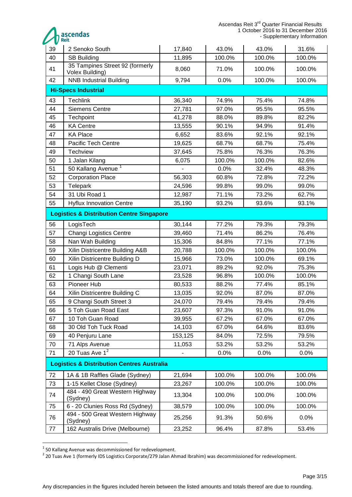Ascendas Reit 3<sup>rd</sup> Quarter Financial Results 1 October 2016 to 31 December 2016 - Supplementary Information



| 39                                                    | 2 Senoko South                                       | 17,840                   | 43.0%  | 43.0%  | 31.6%  |  |  |
|-------------------------------------------------------|------------------------------------------------------|--------------------------|--------|--------|--------|--|--|
| 40                                                    | <b>SB Building</b>                                   | 11,895                   | 100.0% | 100.0% | 100.0% |  |  |
| 41                                                    | 35 Tampines Street 92 (formerly<br>Volex Building)   | 8,060                    | 71.0%  | 100.0% | 100.0% |  |  |
| 42                                                    | <b>NNB Industrial Building</b>                       | 9,794                    | 0.0%   | 100.0% | 100.0% |  |  |
| <b>Hi-Specs Industrial</b>                            |                                                      |                          |        |        |        |  |  |
| 43                                                    | <b>Techlink</b>                                      | 36,340                   | 74.9%  | 75.4%  | 74.8%  |  |  |
| 44                                                    | <b>Siemens Centre</b>                                | 27,781                   | 97.0%  | 95.5%  | 95.5%  |  |  |
| 45                                                    | Techpoint                                            | 41,278                   | 88.0%  | 89.8%  | 82.2%  |  |  |
| 46                                                    | <b>KA Centre</b>                                     | 13,555                   | 90.1%  | 94.9%  | 91.4%  |  |  |
| 47                                                    | <b>KA Place</b>                                      | 6,652                    | 83.6%  | 92.1%  | 92.1%  |  |  |
| 48                                                    | Pacific Tech Centre                                  | 19,625                   | 68.7%  | 68.7%  | 75.4%  |  |  |
| 49                                                    | Techview                                             | 37,645                   | 75.8%  | 76.3%  | 76.3%  |  |  |
| 50                                                    | 1 Jalan Kilang                                       | 6,075                    | 100.0% | 100.0% | 82.6%  |  |  |
| 51                                                    | 50 Kallang Avenue <sup>1</sup>                       |                          | 0.0%   | 32.4%  | 48.3%  |  |  |
| 52                                                    | <b>Corporation Place</b>                             | 56,303                   | 60.8%  | 72.8%  | 72.2%  |  |  |
| 53                                                    | Telepark                                             | 24,596                   | 99.8%  | 99.0%  | 99.0%  |  |  |
| 54                                                    | 31 Ubi Road 1                                        | 12,987                   | 71.1%  | 73.2%  | 62.7%  |  |  |
| 55                                                    | <b>Hyflux Innovation Centre</b>                      | 35,190                   | 93.2%  | 93.6%  | 93.1%  |  |  |
|                                                       | <b>Logistics &amp; Distribution Centre Singapore</b> |                          |        |        |        |  |  |
| 56                                                    | LogisTech                                            | 30,144                   | 77.2%  | 79.3%  | 79.3%  |  |  |
| 57                                                    | <b>Changi Logistics Centre</b>                       | 39,460                   | 71.4%  | 86.2%  | 76.4%  |  |  |
| 58                                                    | Nan Wah Building                                     | 15,306                   | 84.8%  | 77.1%  | 77.1%  |  |  |
| 59                                                    | Xilin Districentre Building A&B                      | 20,788                   | 100.0% | 100.0% | 100.0% |  |  |
| 60                                                    | Xilin Districentre Building D                        | 15,966                   | 73.0%  | 100.0% | 69.1%  |  |  |
| 61                                                    | Logis Hub @ Clementi                                 | 23,071                   | 89.2%  | 92.0%  | 75.3%  |  |  |
| 62                                                    | 1 Changi South Lane                                  | 23,528                   | 96.8%  | 100.0% | 100.0% |  |  |
| 63                                                    | Pioneer Hub                                          | 80,533                   | 88.2%  | 77.4%  | 85.1%  |  |  |
| 64                                                    | Xilin Districentre Building C                        | 13,035                   | 92.0%  | 87.0%  | 87.0%  |  |  |
| 65                                                    | 9 Changi South Street 3                              | 24,070                   | 79.4%  | 79.4%  | 79.4%  |  |  |
| 66                                                    | 5 Toh Guan Road East                                 | 23,607                   | 97.3%  | 91.0%  | 91.0%  |  |  |
| 67                                                    | 10 Toh Guan Road                                     | 39,955                   | 67.2%  | 67.0%  | 67.0%  |  |  |
| 68                                                    | 30 Old Toh Tuck Road                                 | 14,103                   | 67.0%  | 64.6%  | 83.6%  |  |  |
| 69                                                    | 40 Penjuru Lane                                      | 153,125                  | 84.0%  | 72.5%  | 79.5%  |  |  |
| 70                                                    | 71 Alps Avenue                                       | 11,053                   | 53.2%  | 53.2%  | 53.2%  |  |  |
| 71                                                    | 20 Tuas Ave $1^2$                                    | $\overline{\phantom{0}}$ | 0.0%   | 0.0%   | 0.0%   |  |  |
| <b>Logistics &amp; Distribution Centres Australia</b> |                                                      |                          |        |        |        |  |  |
| 72                                                    | 1A & 1B Raffles Glade (Sydney)                       | 21,694                   | 100.0% | 100.0% | 100.0% |  |  |
| 73                                                    | 1-15 Kellet Close (Sydney)                           | 23,267                   | 100.0% | 100.0% | 100.0% |  |  |
| 74                                                    | 484 - 490 Great Western Highway<br>(Sydney)          | 13,304                   | 100.0% | 100.0% | 100.0% |  |  |
| 75                                                    | 6 - 20 Clunies Ross Rd (Sydney)                      | 38,579                   | 100.0% | 100.0% | 100.0% |  |  |
| 76                                                    | 494 - 500 Great Western Highway<br>(Sydney)          | 25,256                   | 91.3%  | 50.6%  | 0.0%   |  |  |
| 77                                                    | 162 Australis Drive (Melbourne)                      | 23,252                   | 96.4%  | 87.8%  | 53.4%  |  |  |

 1 50 Kallang Avenue was decommissioned for redevelopment. 2 20 Tuas Ave 1 (formerly IDS Logistics Corporate/279 Jalan Ahmad Ibrahim) was decommissioned for redevelopment.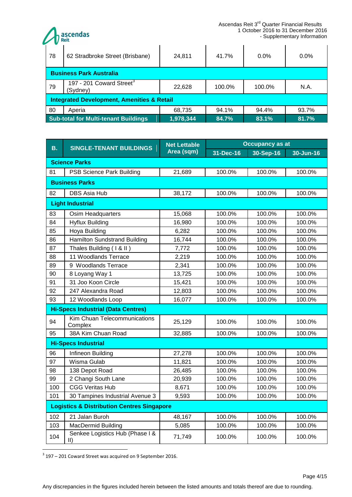ascendas<br><sub>Reit</sub> - Supplementary Information 78 62 Stradbroke Street (Brisbane) | 24,811 | 41.7% | 0.0% | 0.0% **Business Park Australia** 197 - 201 Coward Street<sup>3</sup> 79 (Sydney) 201 Comard Critics 22,628 | 100.0% | 100.0% | N.A. **Integrated Development, Amenities & Retail** 80 Aperia 68,735 94.1% 94.4% 93.7% **Sub-total for Multi-tenant Buildings 1,978,344 84.7% 83.1% 81.7%**

| В.                         | <b>SINGLE-TENANT BUILDINGS</b>                        | <b>Net Lettable</b> | Occupancy as at |           |           |  |
|----------------------------|-------------------------------------------------------|---------------------|-----------------|-----------|-----------|--|
|                            |                                                       | Area (sqm)          | 31-Dec-16       | 30-Sep-16 | 30-Jun-16 |  |
| <b>Science Parks</b>       |                                                       |                     |                 |           |           |  |
| 81                         | PSB Science Park Building                             | 21,689              | 100.0%          | 100.0%    | 100.0%    |  |
|                            | <b>Business Parks</b>                                 |                     |                 |           |           |  |
| 82                         | <b>DBS Asia Hub</b>                                   | 38,172              | 100.0%          | 100.0%    | 100.0%    |  |
|                            | <b>Light Industrial</b>                               |                     |                 |           |           |  |
| 83                         | Osim Headquarters                                     | 15,068              | 100.0%          | 100.0%    | 100.0%    |  |
| 84                         | <b>Hyflux Building</b>                                | 16,980              | 100.0%          | 100.0%    | 100.0%    |  |
| 85                         | Hoya Building                                         | 6,282               | 100.0%          | 100.0%    | 100.0%    |  |
| 86                         | <b>Hamilton Sundstrand Building</b>                   | 16,744              | 100.0%          | 100.0%    | 100.0%    |  |
| 87                         | Thales Building (1 & II)                              | 7,772               | 100.0%          | 100.0%    | 100.0%    |  |
| 88                         | 11 Woodlands Terrace                                  | 2,219               | 100.0%          | 100.0%    | 100.0%    |  |
| 89                         | 9 Woodlands Terrace                                   | 2,341               | 100.0%          | 100.0%    | 100.0%    |  |
| 90                         | 8 Loyang Way 1                                        | 13,725              | 100.0%          | 100.0%    | 100.0%    |  |
| 91                         | 31 Joo Koon Circle                                    | 15,421              | 100.0%          | 100.0%    | 100.0%    |  |
| 92                         | 247 Alexandra Road                                    | 12,803              | 100.0%          | 100.0%    | 100.0%    |  |
| 93                         | 12 Woodlands Loop                                     | 16,077              | 100.0%          | 100.0%    | 100.0%    |  |
|                            | <b>Hi-Specs Industrial (Data Centres)</b>             |                     |                 |           |           |  |
| 94                         | Kim Chuan Telecommunications<br>Complex               | 25,129              | 100.0%          | 100.0%    | 100.0%    |  |
| 95                         | 38A Kim Chuan Road                                    | 32,885              | 100.0%          | 100.0%    | 100.0%    |  |
| <b>Hi-Specs Industrial</b> |                                                       |                     |                 |           |           |  |
| 96                         | Infineon Building                                     | 27,278              | 100.0%          | 100.0%    | 100.0%    |  |
| 97                         | Wisma Gulab                                           | 11,821              | 100.0%          | 100.0%    | 100.0%    |  |
| 98                         | 138 Depot Road                                        | 26,485              | 100.0%          | 100.0%    | 100.0%    |  |
| 99                         | 2 Changi South Lane                                   | 20,939              | 100.0%          | 100.0%    | 100.0%    |  |
| 100                        | <b>CGG Veritas Hub</b>                                | 8,671               | 100.0%          | 100.0%    | 100.0%    |  |
| 101                        | 30 Tampines Industrial Avenue 3                       | 9,593               | 100.0%          | 100.0%    | 100.0%    |  |
|                            | <b>Logistics &amp; Distribution Centres Singapore</b> |                     |                 |           |           |  |
| 102                        | 21 Jalan Buroh                                        | 48,167              | 100.0%          | 100.0%    | 100.0%    |  |
| 103                        | <b>MacDermid Building</b>                             | 5,085               | 100.0%          | 100.0%    | 100.0%    |  |
| 104                        | Senkee Logistics Hub (Phase I &<br>$ 1\rangle$        | 71,749              | 100.0%          | 100.0%    | 100.0%    |  |

<sup>&</sup>lt;u>.</u>  $3$  197 – 201 Coward Street was acquired on 9 September 2016.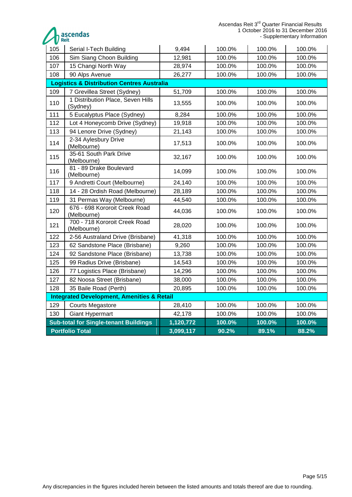ascendas

| 105                                                   | Serial I-Tech Building                                | 9,494     | 100.0% | 100.0% | 100.0% |  |  |
|-------------------------------------------------------|-------------------------------------------------------|-----------|--------|--------|--------|--|--|
| 106                                                   | Sim Siang Choon Building                              | 12,981    | 100.0% | 100.0% | 100.0% |  |  |
| 107                                                   | 15 Changi North Way                                   | 28,974    | 100.0% | 100.0% | 100.0% |  |  |
| 108                                                   | 90 Alps Avenue                                        | 26,277    | 100.0% | 100.0% | 100.0% |  |  |
| <b>Logistics &amp; Distribution Centres Australia</b> |                                                       |           |        |        |        |  |  |
| 109                                                   | 7 Grevillea Street (Sydney)                           | 51,709    | 100.0% | 100.0% | 100.0% |  |  |
| 110                                                   | 1 Distribution Place, Seven Hills<br>(Sydney)         | 13,555    | 100.0% | 100.0% | 100.0% |  |  |
| 111                                                   | 5 Eucalyptus Place (Sydney)                           | 8,284     | 100.0% | 100.0% | 100.0% |  |  |
| 112                                                   | Lot 4 Honeycomb Drive (Sydney)                        | 19,918    | 100.0% | 100.0% | 100.0% |  |  |
| 113                                                   | 94 Lenore Drive (Sydney)                              | 21,143    | 100.0% | 100.0% | 100.0% |  |  |
| 114                                                   | 2-34 Aylesbury Drive<br>(Melbourne)                   | 17,513    | 100.0% | 100.0% | 100.0% |  |  |
| 115                                                   | 35-61 South Park Drive<br>(Melbourne)                 | 32,167    | 100.0% | 100.0% | 100.0% |  |  |
| 116                                                   | 81 - 89 Drake Boulevard<br>(Melbourne)                | 14,099    | 100.0% | 100.0% | 100.0% |  |  |
| 117                                                   | 9 Andretti Court (Melbourne)                          | 24,140    | 100.0% | 100.0% | 100.0% |  |  |
| 118                                                   | 14 - 28 Ordish Road (Melbourne)                       | 28,189    | 100.0% | 100.0% | 100.0% |  |  |
| 119                                                   | 31 Permas Way (Melbourne)                             | 44,540    | 100.0% | 100.0% | 100.0% |  |  |
| 120                                                   | 676 - 698 Kororoit Creek Road<br>(Melbourne)          | 44,036    | 100.0% | 100.0% | 100.0% |  |  |
| 121                                                   | 700 - 718 Kororoit Creek Road<br>(Melbourne)          | 28,020    | 100.0% | 100.0% | 100.0% |  |  |
| 122                                                   | 2-56 Australand Drive (Brisbane)                      | 41,318    | 100.0% | 100.0% | 100.0% |  |  |
| 123                                                   | 62 Sandstone Place (Brisbane)                         | 9,260     | 100.0% | 100.0% | 100.0% |  |  |
| 124                                                   | 92 Sandstone Place (Brisbane)                         | 13,738    | 100.0% | 100.0% | 100.0% |  |  |
| 125                                                   | 99 Radius Drive (Brisbane)                            | 14,543    | 100.0% | 100.0% | 100.0% |  |  |
| 126                                                   | 77 Logistics Place (Brisbane)                         | 14,296    | 100.0% | 100.0% | 100.0% |  |  |
| 127                                                   | 82 Noosa Street (Brisbane)                            | 38,000    | 100.0% | 100.0% | 100.0% |  |  |
| 128                                                   | 35 Baile Road (Perth)                                 | 20,895    | 100.0% | 100.0% | 100.0% |  |  |
|                                                       | <b>Integrated Development, Amenities &amp; Retail</b> |           |        |        |        |  |  |
| 129                                                   | <b>Courts Megastore</b>                               | 28,410    | 100.0% | 100.0% | 100.0% |  |  |
| 130                                                   | <b>Giant Hypermart</b>                                | 42,178    | 100.0% | 100.0% | 100.0% |  |  |
|                                                       | <b>Sub-total for Single-tenant Buildings</b>          | 100.0%    | 100.0% | 100.0% |        |  |  |
| <b>Portfolio Total</b>                                |                                                       | 3,099,117 | 90.2%  | 89.1%  | 88.2%  |  |  |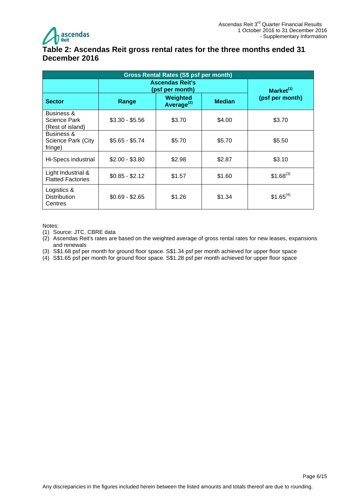

### <span id="page-5-0"></span>**Table 2: Ascendas Reit gross rental rates for the three months ended 31 December 2016**

| Gross Rental Rates (S\$ psf per month)         |                 |                                    |               |                       |  |
|------------------------------------------------|-----------------|------------------------------------|---------------|-----------------------|--|
| <b>Ascendas Reit's</b><br>(psf per month)      |                 |                                    |               | Market <sup>(1)</sup> |  |
| <b>Sector</b>                                  | Range           | Weighted<br>Average <sup>(2)</sup> | <b>Median</b> | (psf per month)       |  |
| Business &<br>Science Park<br>(Rest of island) | $$3.30 - $5.56$ | \$3.70                             | \$4.00        | \$3.70                |  |
| Business &<br>Science Park (City<br>fringe)    | $$5.65 - $5.74$ | \$5.70                             | \$5.70        | \$5.50                |  |
| Hi-Specs industrial                            | $$2.00 - $3.80$ | \$2.98                             | \$2.87        | \$3.10                |  |
| Light Industrial &<br><b>Flatted Factories</b> | $$0.85 - $2.12$ | \$1.57                             | \$1.60        | $$1.68^{(3)}$         |  |
| Logistics &<br><b>Distribution</b><br>Centres  | $$0.69 - $2.65$ | \$1.26                             | \$1.34        | $$1.65^{(4)}$         |  |

Notes:

- (1) Source: JTC, CBRE data
- (2) Ascendas Reit's rates are based on the weighted average of gross rental rates for new leases, expansions and renewals
- (3) S\$1.68 psf per month for ground floor space. S\$1.34 psf per month achieved for upper floor space
- (4) S\$1.65 psf per month for ground floor space. S\$1.28 psf per month achieved for upper floor space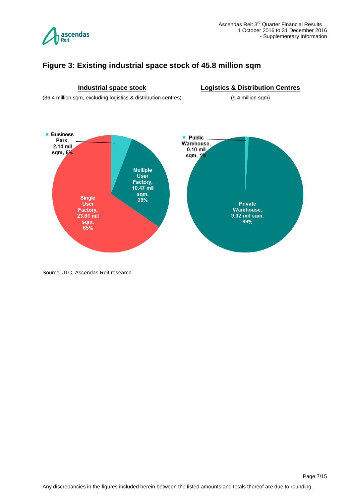

# <span id="page-6-0"></span>**Figure 3: Existing industrial space stock of 45.8 million sqm**



Source: JTC, Ascendas Reit research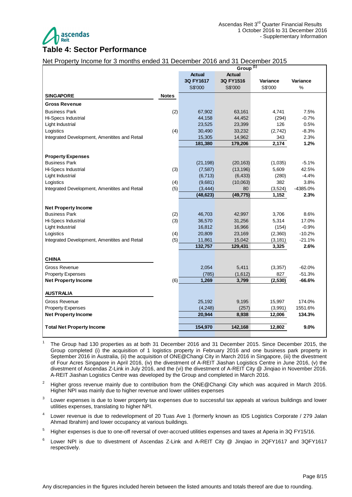

#### <span id="page-7-0"></span>**Table 4: Sector Performance**

#### Net Property Income for 3 months ended 31 December 2016 and 31 December 2015

|                                               |              | Group <sup>(1)</sup> |               |          |          |  |
|-----------------------------------------------|--------------|----------------------|---------------|----------|----------|--|
|                                               |              | <b>Actual</b>        | <b>Actual</b> |          |          |  |
|                                               |              | 3Q FY1617            | 3Q FY1516     | Variance | Variance |  |
|                                               |              | S\$'000              | S\$'000       | S\$'000  | $\%$     |  |
| <b>SINGAPORE</b>                              | <b>Notes</b> |                      |               |          |          |  |
| <b>Gross Revenue</b>                          |              |                      |               |          |          |  |
| <b>Business Park</b>                          | (2)          | 67,902               | 63,161        | 4,741    | 7.5%     |  |
| Hi-Specs Industrial                           |              | 44,158               | 44,452        | (294)    | $-0.7%$  |  |
| Light Industrial                              |              | 23,525               | 23,399        | 126      | 0.5%     |  |
| Logistics                                     | (4)          | 30,490               | 33,232        | (2,742)  | $-8.3%$  |  |
| Integrated Development, Amenitites and Retail |              | 15,305               | 14,962        | 343      | 2.3%     |  |
|                                               |              | 181,380              | 179,206       | 2,174    | 1.2%     |  |
| <b>Property Expenses</b>                      |              |                      |               |          |          |  |
| <b>Business Park</b>                          |              | (21, 198)            | (20, 163)     | (1,035)  | $-5.1%$  |  |
| Hi-Specs Industrial                           | (3)          | (7, 587)             | (13, 196)     | 5,609    | 42.5%    |  |
| Light Industrial                              |              | (6, 713)             | (6, 433)      | (280)    | $-4.4%$  |  |
| Logistics                                     | (4)          | (9,681)              | (10,063)      | 382      | 3.8%     |  |
| Integrated Development, Amenitites and Retail | (5)          | (3, 444)             | 80            | (3,524)  | -4385.0% |  |
|                                               |              | (48, 623)            | (49, 775)     | 1,152    | 2.3%     |  |
|                                               |              |                      |               |          |          |  |
| <b>Net Property Income</b>                    |              |                      |               |          |          |  |
| <b>Business Park</b>                          | (2)          | 46,703               | 42,997        | 3,706    | 8.6%     |  |
| Hi-Specs Industrial                           | (3)          | 36,570               | 31,256        | 5,314    | 17.0%    |  |
| Light Industrial                              |              | 16,812               | 16,966        | (154)    | $-0.9%$  |  |
| Logistics                                     | (4)          | 20,809               | 23,169        | (2,360)  | $-10.2%$ |  |
| Integrated Development, Amenitites and Retail | (5)          | 11,861               | 15,042        | (3, 181) | $-21.1%$ |  |
|                                               |              | 132,757              | 129,431       | 3,325    | 2.6%     |  |
| <b>CHINA</b>                                  |              |                      |               |          |          |  |
| Gross Revenue                                 |              | 2,054                | 5,411         | (3,357)  | $-62.0%$ |  |
| <b>Property Expenses</b>                      |              | (785)                | (1,612)       | 827      | $-51.3%$ |  |
| <b>Net Property Income</b>                    | (6)          | 1,269                | 3,799         | (2,530)  | $-66.6%$ |  |
| AUSTRALIA                                     |              |                      |               |          |          |  |
| Gross Revenue                                 |              | 25,192               | 9,195         | 15,997   | 174.0%   |  |
| <b>Property Expenses</b>                      |              | (4,248)              | (257)         | (3,991)  | 1551.6%  |  |
|                                               |              | 20,944               | 8,938         |          |          |  |
| <b>Net Property Income</b>                    |              |                      |               | 12,006   | 134.3%   |  |
| <b>Total Net Property Income</b>              |              | 154,970              | 142,168       | 12,802   | $9.0\%$  |  |
|                                               |              |                      |               |          |          |  |

<sup>1</sup>The Group had 130 properties as at both 31 December 2016 and 31 December 2015. Since December 2015, the Group completed (i) the acquisition of 1 logistics property in February 2016 and one business park property in September 2016 in Australia, (ii) the acquisition of ONE@Changi City in March 2016 in Singapore, (iii) the divestment of Four Acres Singapore in April 2016, (iv) the divestment of A-REIT Jiashan Logistics Centre in June 2016, (v) the divestment of Ascendas Z-Link in July 2016, and the (vi) the divestment of A-REIT City @ Jinqiao in November 2016. A-REIT Jiashan Logistics Centre was developed by the Group and completed in March 2016.

<sup>2</sup> Higher gross revenue mainly due to contribution from the ONE@Changi City which was acquired in March 2016. Higher NPI was mainly due to higher revenue and lower utilities expenses

3 Lower expenses is due to lower property tax expenses due to successful tax appeals at various buildings and lower utilities expenses, translating to higher NPI.

- 4 Lower revenue is due to redevelopment of 20 Tuas Ave 1 (formerly known as IDS Logistics Corporate / 279 Jalan Ahmad Ibrahim) and lower occupancy at various buildings.
- <sup>5</sup> Higher expenses is due to one-off reversal of over-accrued utilities expenses and taxes at Aperia in 3Q FY15/16.
- 6 Lower NPI is due to divestment of Ascendas Z-Link and A-REIT City @ Jinqiao in 2QFY1617 and 3QFY1617 respectively.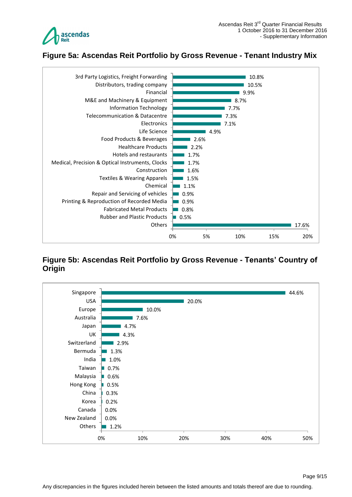

# <span id="page-8-0"></span>**Figure 5a: Ascendas Reit Portfolio by Gross Revenue - Tenant Industry Mix**



# <span id="page-8-1"></span>**Figure 5b: Ascendas Reit Portfolio by Gross Revenue - Tenants' Country of Origin**

![](_page_8_Figure_5.jpeg)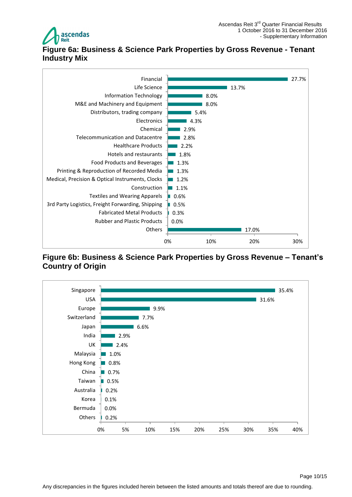![](_page_9_Picture_0.jpeg)

# <span id="page-9-0"></span>**Figure 6a: Business & Science Park Properties by Gross Revenue - Tenant Industry Mix**

![](_page_9_Figure_3.jpeg)

#### <span id="page-9-1"></span>**Figure 6b: Business & Science Park Properties by Gross Revenue – Tenant's Country of Origin**

![](_page_9_Figure_5.jpeg)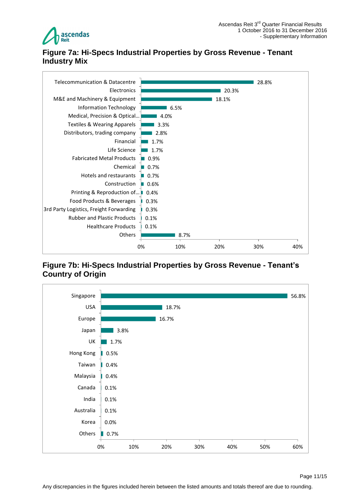![](_page_10_Picture_0.jpeg)

# <span id="page-10-0"></span>**Figure 7a: Hi-Specs Industrial Properties by Gross Revenue - Tenant Industry Mix**

![](_page_10_Figure_3.jpeg)

# <span id="page-10-1"></span>**Figure 7b: Hi-Specs Industrial Properties by Gross Revenue - Tenant's Country of Origin**

![](_page_10_Figure_5.jpeg)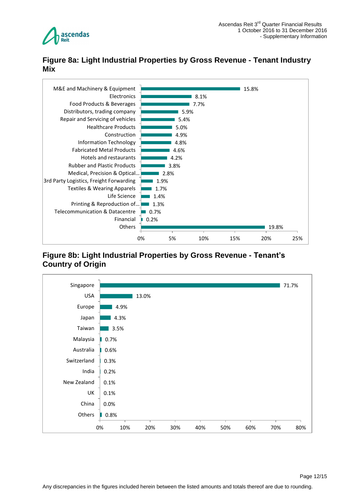![](_page_11_Picture_0.jpeg)

# <span id="page-11-0"></span>**Figure 8a: Light Industrial Properties by Gross Revenue - Tenant Industry Mix**

![](_page_11_Figure_3.jpeg)

# <span id="page-11-1"></span>**Figure 8b: Light Industrial Properties by Gross Revenue - Tenant's Country of Origin**

![](_page_11_Figure_5.jpeg)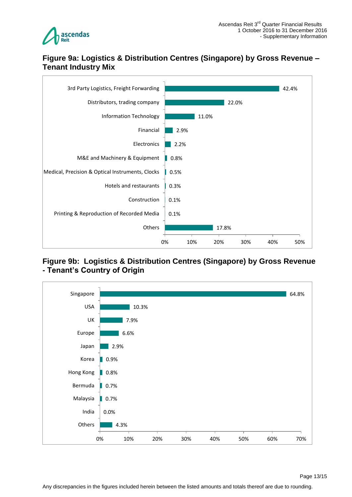![](_page_12_Picture_0.jpeg)

### <span id="page-12-0"></span>**Figure 9a: Logistics & Distribution Centres (Singapore) by Gross Revenue – Tenant Industry Mix**

![](_page_12_Figure_3.jpeg)

### <span id="page-12-1"></span>**Figure 9b: Logistics & Distribution Centres (Singapore) by Gross Revenue - Tenant's Country of Origin**

![](_page_12_Figure_5.jpeg)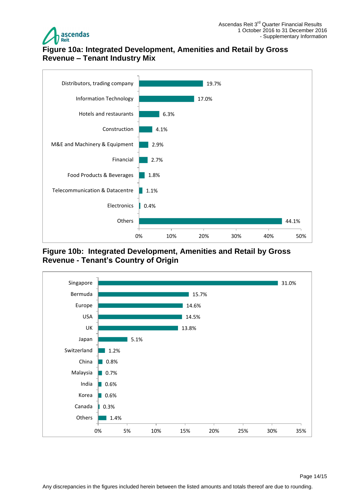![](_page_13_Picture_0.jpeg)

# <span id="page-13-0"></span>**Figure 10a: Integrated Development, Amenities and Retail by Gross Revenue – Tenant Industry Mix**

![](_page_13_Figure_3.jpeg)

<span id="page-13-1"></span>**Figure 10b: Integrated Development, Amenities and Retail by Gross Revenue - Tenant's Country of Origin**

![](_page_13_Figure_5.jpeg)